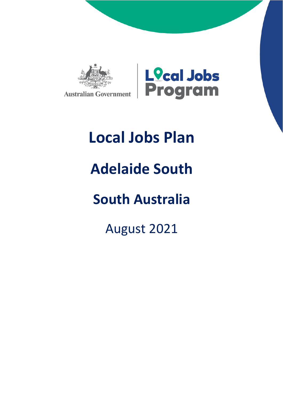



# **Local Jobs Plan**

# **Adelaide South**

## **South Australia**

August 2021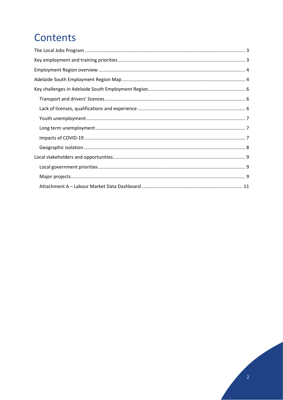### Contents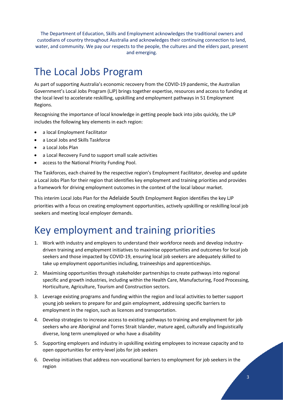The Department of Education, Skills and Employment acknowledges the traditional owners and custodians of country throughout Australia and acknowledges their continuing connection to land, water, and community. We pay our respects to the people, the cultures and the elders past, present and emerging.

### <span id="page-2-0"></span>The Local Jobs Program

As part of supporting Australia's economic recovery from the COVID-19 pandemic, the Australian Government's Local Jobs Program (LJP) brings together expertise, resources and access to funding at the local level to accelerate reskilling, upskilling and employment pathways in 51 Employment Regions.

Recognising the importance of local knowledge in getting people back into jobs quickly, the LJP includes the following key elements in each region:

- a local Employment Facilitator
- a Local Jobs and Skills Taskforce
- a Local Jobs Plan
- a Local Recovery Fund to support small scale activities
- access to the National Priority Funding Pool.

The Taskforces, each chaired by the respective region's Employment Facilitator, develop and update a Local Jobs Plan for their region that identifies key employment and training priorities and provides a framework for driving employment outcomes in the context of the local labour market.

This interim Local Jobs Plan for the Adelaide South Employment Region identifies the key LJP priorities with a focus on creating employment opportunities, actively upskilling or reskilling local job seekers and meeting local employer demands.

### <span id="page-2-1"></span>Key employment and training priorities

- 1. Work with industry and employers to understand their workforce needs and develop industrydriven training and employment initiatives to maximise opportunities and outcomes for local job seekers and those impacted by COVID-19, ensuring local job seekers are adequately skilled to take up employment opportunities including, traineeships and apprenticeships.
- 2. Maximising opportunities through stakeholder partnerships to create pathways into regional specific and growth industries, including within the Health Care, Manufacturing, Food Processing, Horticulture, Agriculture, Tourism and Construction sectors.
- 3. Leverage existing programs and funding within the region and local activities to better support young job seekers to prepare for and gain employment, addressing specific barriers to employment in the region, such as licences and transportation.
- 4. Develop strategies to increase access to existing pathways to training and employment for job seekers who are Aboriginal and Torres Strait Islander, mature aged, culturally and linguistically diverse, long term unemployed or who have a disability
- 5. Supporting employers and industry in upskilling existing employees to increase capacity and to open opportunities for entry-level jobs for job seekers
- 6. Develop initiatives that address non-vocational barriers to employment for job seekers in the region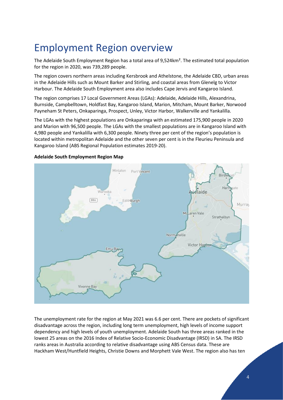### <span id="page-3-0"></span>Employment Region overview

The Adelaide South Employment Region has a total area of 9,524km². The estimated total population for the region in 2020, was 739,289 people.

The region covers northern areas including Kersbrook and Athelstone, the Adelaide CBD, urban areas in the Adelaide Hills such as Mount Barker and Stirling, and coastal areas from Glenelg to Victor Harbour. The Adelaide South Employment area also includes Cape Jervis and Kangaroo Island.

The region comprises 17 Local Government Areas (LGAs): Adelaide, Adelaide Hills, Alexandrina, Burnside, Campbelltown, Holdfast Bay, Kangaroo Island, Marion, Mitcham, Mount Barker, Norwood Payneham St Peters, Onkaparinga, Prospect, Unley, Victor Harbor, Walkerville and Yankalilla.

The LGAs with the highest populations are Onkaparinga with an estimated 175,900 people in 2020 and Marion with 96,500 people. The LGAs with the smallest populations are in Kangaroo Island with 4,980 people and Yankalilla with 6,300 people. Ninety three per cent of the region's population is located within metropolitan Adelaide and the other seven per cent is in the Fleurieu Peninsula and Kangaroo Island (ABS Regional Population estimates 2019-20).



#### <span id="page-3-1"></span>**Adelaide South Employment Region Map**

The unemployment rate for the region at May 2021 was 6.6 per cent. There are pockets of significant disadvantage across the region, including long term unemployment, high levels of income support dependency and high levels of youth unemployment. Adelaide South has three areas ranked in the lowest 25 areas on the 2016 Index of Relative Socio-Economic Disadvantage (IRSD) in SA. The IRSD ranks areas in Australia according to relative disadvantage using ABS Census data. These are Hackham West/Huntfield Heights, Christie Downs and Morphett Vale West. The region also has ten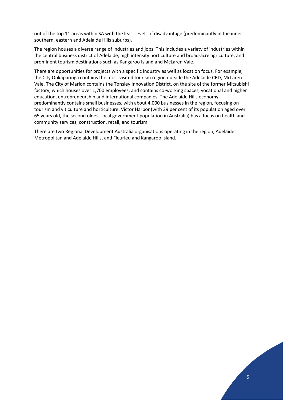out of the top 11 areas within SA with the least levels of disadvantage (predominantly in the inner southern, eastern and Adelaide Hills suburbs).

The region houses a diverse range of industries and jobs. This includes a variety of industries within the central business district of Adelaide, high intensity horticulture and broad-acre agriculture, and prominent tourism destinations such as Kangaroo Island and McLaren Vale.

There are opportunities for projects with a specific industry as well as location focus. For example, the City Onkaparinga contains the most visited tourism region outside the Adelaide CBD, McLaren Vale. The City of Marion contains the Tonsley Innovation District, on the site of the former Mitsubishi factory, which houses over 1,700 employees, and contains co-working spaces, vocational and higher education, entrepreneurship and international companies. The Adelaide Hills economy predominantly contains small businesses, with about 4,000 businesses in the region, focusing on tourism and viticulture and horticulture. Victor Harbor (with 39 per cent of its population aged over 65 years old, the second oldest local government population in Australia) has a focus on health and community services, construction, retail, and tourism.

There are two Regional Development Australia organisations operating in the region, Adelaide Metropolitan and Adelaide Hills, and Fleurieu and Kangaroo Island.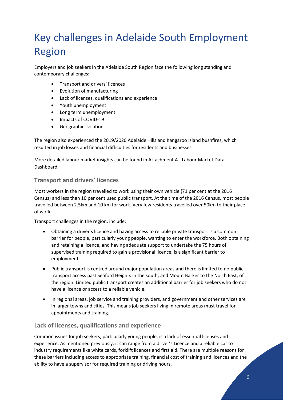## <span id="page-5-0"></span>Key challenges in Adelaide South Employment Region

Employers and job seekers in the Adelaide South Region face the following long standing and contemporary challenges:

- Transport and drivers' licences
- Evolution of manufacturing
- Lack of licenses, qualifications and experience
- Youth unemployment
- Long term unemployment
- Impacts of COVID-19
- Geographic isolation.

The region also experienced the 2019/2020 Adelaide Hills and Kangaroo Island bushfires, which resulted in job losses and financial difficulties for residents and businesses.

More detailed labour market insights can be found in Attachment A - Labour Market Data Dashboard.

#### <span id="page-5-1"></span>**Transport and drivers' licences**

Most workers in the region travelled to work using their own vehicle (71 per cent at the 2016 Census) and less than 10 per cent used public transport. At the time of the 2016 Census, most people travelled between 2.5km and 10 km for work. Very few residents travelled over 50km to their place of work.

Transport challenges in the region, include:

- Obtaining a driver's licence and having access to reliable private transport is a common barrier for people, particularly young people, wanting to enter the workforce. Both obtaining and retaining a licence, and having adequate support to undertake the 75 hours of supervised training required to gain a provisional licence, is a significant barrier to employment
- Public transport is centred around major population areas and there is limited to no public transport access past Seaford Heights in the south, and Mount Barker to the North East, of the region. Limited public transport creates an additional barrier for job seekers who do not have a licence or access to a reliable vehicle.
- In regional areas, job service and training providers, and government and other services are in larger towns and cities. This means job seekers living in remote areas must travel for appointments and training.

#### <span id="page-5-2"></span>**Lack of licenses, qualifications and experience**

Common issues for job seekers, particularly young people, is a lack of essential licenses and experience. As mentioned previously, it can range from a driver's Licence and a reliable car to industry requirements like white cards, forklift licences and first aid. There are multiple reasons for these barriers including access to appropriate training, financial cost of training and licences and the ability to have a supervisor for required training or driving hours.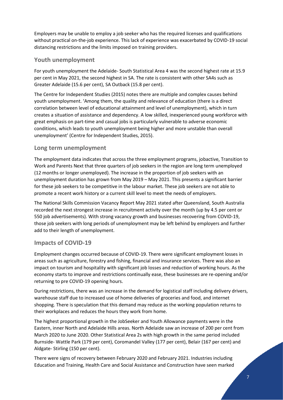Employers may be unable to employ a job seeker who has the required licenses and qualifications without practical on-the-job experience. This lack of experience was exacerbated by COVID-19 social distancing restrictions and the limits imposed on training providers.

#### <span id="page-6-0"></span>**Youth unemployment**

For youth unemployment the Adelaide- South Statistical Area 4 was the second highest rate at 15.9 per cent in May 2021, the second highest in SA. The rate is consistent with other SA4s such as Greater Adelaide (15.6 per cent), SA Outback (15.8 per cent).

The Centre for Independent Studies (2015) notes there are multiple and complex causes behind youth unemployment. 'Among them, the quality and relevance of education (there is a direct correlation between level of educational attainment and level of unemployment), which in turn creates a situation of assistance and dependency. A low skilled, inexperienced young workforce with great emphasis on part-time and casual jobs is particularly vulnerable to adverse economic conditions, which leads to youth unemployment being higher and more unstable than overall unemployment' (Centre for Independent Studies, 2015).

#### <span id="page-6-1"></span>**Long term unemployment**

The employment data indicates that across the three employment programs, jobactive, Transition to Work and Parents Next that three quarters of job seekers in the region are long term unemployed (12 months or longer unemployed). The increase in the proportion of job seekers with an unemployment duration has grown from May 2019 – May 2021. This presents a significant barrier for these job seekers to be competitive in the labour market. These job seekers are not able to promote a recent work history or a current skill level to meet the needs of employers.

The National Skills Commission Vacancy Report May 2021 stated after Queensland, South Australia recorded the next strongest increase in recruitment activity over the month (up by 4.5 per cent or 550 job advertisements). With strong vacancy growth and businesses recovering from COVID-19, those job seekers with long periods of unemployment may be left behind by employers and further add to their length of unemployment.

#### <span id="page-6-2"></span>**Impacts of COVID-19**

Employment changes occurred because of COVID-19. There were significant employment losses in areas such as agriculture, forestry and fishing, financial and insurance services. There was also an impact on tourism and hospitality with significant job losses and reduction of working hours. As the economy starts to improve and restrictions continually ease, these businesses are re-opening and/or returning to pre COVID-19 opening hours.

During restrictions, there was an increase in the demand for logistical staff including delivery drivers, warehouse staff due to increased use of home deliveries of groceries and food, and internet shopping. There is speculation that this demand may reduce as the working population returns to their workplaces and reduces the hours they work from home.

The highest proportional growth in the JobSeeker and Youth Allowance payments were in the Eastern, inner North and Adelaide Hills areas. North Adelaide saw an increase of 200 per cent from March 2020 to June 2020. Other Statistical Area 2s with high growth in the same period included Burnside- Wattle Park (179 per cent), Coromandel Valley (177 per cent), Belair (167 per cent) and Aldgate- Stirling (150 per cent).

There were signs of recovery between February 2020 and February 2021. Industries including Education and Training, Health Care and Social Assistance and Construction have seen marked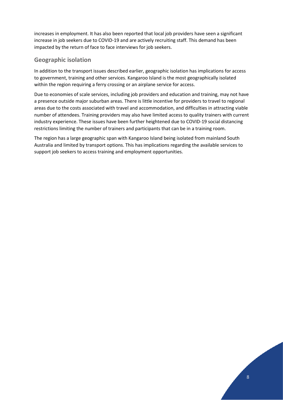increases in employment. It has also been reported that local job providers have seen a significant increase in job seekers due to COVID-19 and are actively recruiting staff. This demand has been impacted by the return of face to face interviews for job seekers.

#### <span id="page-7-0"></span>**Geographic isolation**

In addition to the transport issues described earlier, geographic isolation has implications for access to government, training and other services. Kangaroo Island is the most geographically isolated within the region requiring a ferry crossing or an airplane service for access.

Due to economies of scale services, including job providers and education and training, may not have a presence outside major suburban areas. There is little incentive for providers to travel to regional areas due to the costs associated with travel and accommodation, and difficulties in attracting viable number of attendees. Training providers may also have limited access to quality trainers with current industry experience. These issues have been further heightened due to COVID-19 social distancing restrictions limiting the number of trainers and participants that can be in a training room.

The region has a large geographic span with Kangaroo Island being isolated from mainland South Australia and limited by transport options. This has implications regarding the available services to support job seekers to access training and employment opportunities.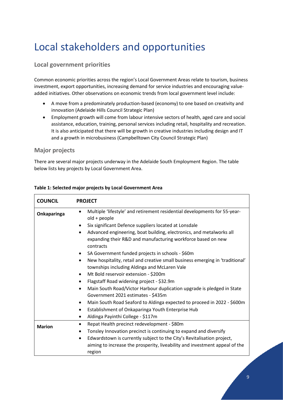## <span id="page-8-0"></span>Local stakeholders and opportunities

#### <span id="page-8-1"></span>**Local government priorities**

Common economic priorities across the region's Local Government Areas relate to tourism, business investment, export opportunities, increasing demand for service industries and encouraging valueadded initiatives. Other observations on economic trends from local government level include:

- A move from a predominately production-based (economy) to one based on creativity and innovation (Adelaide Hills Council Strategic Plan)
- Employment growth will come from labour intensive sectors of health, aged care and social assistance, education, training, personal services including retail, hospitality and recreation. It is also anticipated that there will be growth in creative industries including design and IT and a growth in microbusiness (Campbelltown City Council Strategic Plan)

#### <span id="page-8-2"></span>**Major projects**

There are several major projects underway in the Adelaide South Employment Region. The table below lists key projects by Local Government Area.

| <b>COUNCIL</b> | <b>PROJECT</b>                                                                                                                                                                                                                                                                                                                                                                                                                                                                                                                                                                                                                                                                                                                                                                                                                                                                                                             |
|----------------|----------------------------------------------------------------------------------------------------------------------------------------------------------------------------------------------------------------------------------------------------------------------------------------------------------------------------------------------------------------------------------------------------------------------------------------------------------------------------------------------------------------------------------------------------------------------------------------------------------------------------------------------------------------------------------------------------------------------------------------------------------------------------------------------------------------------------------------------------------------------------------------------------------------------------|
| Onkaparinga    | Multiple 'lifestyle' and retirement residential developments for 55-year-<br>old + people<br>Six significant Defence suppliers located at Lonsdale<br>Advanced engineering, boat building, electronics, and metalworks all<br>$\bullet$<br>expanding their R&D and manufacturing workforce based on new<br>contracts<br>SA Government funded projects in schools - \$60m<br>New hospitality, retail and creative small business emerging in 'traditional'<br>townships including Aldinga and McLaren Vale<br>Mt Bold reservoir extension - \$200m<br>Flagstaff Road widening project - \$32.9m<br>Main South Road/Victor Harbour duplication upgrade is pledged in State<br>Government 2021 estimates - \$435m<br>Main South Road Seaford to Aldinga expected to proceed in 2022 - \$600m<br>$\bullet$<br>Establishment of Onkaparinga Youth Enterprise Hub<br>$\bullet$<br>Aldinga Payinthi College - \$117m<br>$\bullet$ |
| <b>Marion</b>  | Repat Health precinct redevelopment - \$80m<br>$\bullet$<br>Tonsley Innovation precinct is continuing to expand and diversify<br>Edwardstown is currently subject to the City's Revitalisation project,<br>aiming to increase the prosperity, liveability and investment appeal of the                                                                                                                                                                                                                                                                                                                                                                                                                                                                                                                                                                                                                                     |
|                | region                                                                                                                                                                                                                                                                                                                                                                                                                                                                                                                                                                                                                                                                                                                                                                                                                                                                                                                     |

#### **Table 1: Selected major projects by Local Government Area**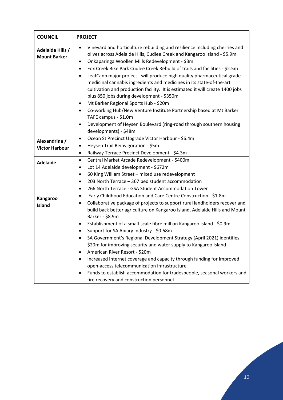| <b>COUNCIL</b>                          | <b>PROJECT</b>                                                                                                                                                                                                                                                                                                                                                                                                                                                                                                                                                                                                                                                                                                                                                                                                                                                       |
|-----------------------------------------|----------------------------------------------------------------------------------------------------------------------------------------------------------------------------------------------------------------------------------------------------------------------------------------------------------------------------------------------------------------------------------------------------------------------------------------------------------------------------------------------------------------------------------------------------------------------------------------------------------------------------------------------------------------------------------------------------------------------------------------------------------------------------------------------------------------------------------------------------------------------|
| Adelaide Hills /<br><b>Mount Barker</b> | Vineyard and horticulture rebuilding and resilience including cherries and<br>olives across Adelaide Hills, Cudlee Creek and Kangaroo Island - \$5.9m<br>Onkaparinga Woollen Mills Redevelopment - \$3m<br>٠<br>Fox Creek Bike Park Cudlee Creek Rebuild of trails and facilities - \$2.5m<br>$\bullet$<br>LeafCann major project - will produce high quality pharmaceutical grade<br>$\bullet$<br>medicinal cannabis ingredients and medicines in its state-of-the-art<br>cultivation and production facility. It is estimated it will create 1400 jobs<br>plus 850 jobs during development - \$350m<br>Mt Barker Regional Sports Hub - \$20m<br>٠<br>Co-working Hub/New Venture Institute Partnership based at Mt Barker<br>$\bullet$<br>TAFE campus - \$1.0m<br>Development of Heysen Boulevard (ring-road through southern housing<br>٠<br>developments) - \$48m |
| Alexandrina /<br><b>Victor Harbour</b>  | Ocean St Precinct Upgrade Victor Harbour - \$6.4m<br>٠<br>Heysen Trail Reinvigoration - \$5m<br>Railway Terrace Precinct Development - \$4.3m                                                                                                                                                                                                                                                                                                                                                                                                                                                                                                                                                                                                                                                                                                                        |
| <b>Adelaide</b>                         | Central Market Arcade Redevelopment - \$400m<br>٠<br>Lot 14 Adelaide development - \$672m<br>٠<br>60 King William Street - mixed use redevelopment<br>٠<br>203 North Terrace - 367 bed student accommodation<br>٠<br>266 North Terrace - GSA Student Accommodation Tower                                                                                                                                                                                                                                                                                                                                                                                                                                                                                                                                                                                             |
| Kangaroo<br>Island                      | Early Childhood Education and Care Centre Construction - \$1.8m<br>$\bullet$<br>Collaborative package of projects to support rural landholders recover and<br>build back better agriculture on Kangaroo Island, Adelaide Hills and Mount<br>Barker - \$8.9m<br>Establishment of a small-scale fibre mill on Kangaroo Island - \$0.9m<br>٠<br>Support for SA Apiary Industry - \$0.68m<br>SA Government's Regional Development Strategy (April 2021) identifies<br>\$20m for improving security and water supply to Kangaroo Island<br>American River Resort - \$20m<br>Increased internet coverage and capacity through funding for improved<br>open-access telecommunication infrastructure<br>Funds to establish accommodation for tradespeople, seasonal workers and<br>fire recovery and construction personnel                                                  |